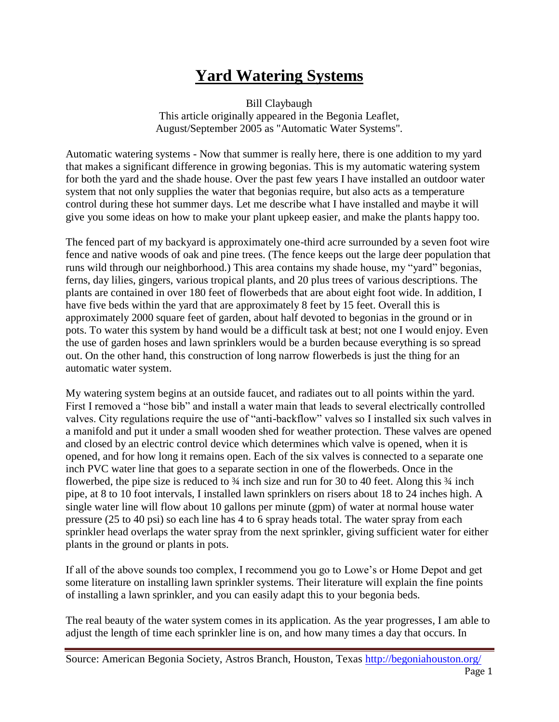## **Yard Watering Systems**

Bill Claybaugh This article originally appeared in the Begonia Leaflet, August/September 2005 as "Automatic Water Systems".

Automatic watering systems - Now that summer is really here, there is one addition to my yard that makes a significant difference in growing begonias. This is my automatic watering system for both the yard and the shade house. Over the past few years I have installed an outdoor water system that not only supplies the water that begonias require, but also acts as a temperature control during these hot summer days. Let me describe what I have installed and maybe it will give you some ideas on how to make your plant upkeep easier, and make the plants happy too.

The fenced part of my backyard is approximately one-third acre surrounded by a seven foot wire fence and native woods of oak and pine trees. (The fence keeps out the large deer population that runs wild through our neighborhood.) This area contains my shade house, my "yard" begonias, ferns, day lilies, gingers, various tropical plants, and 20 plus trees of various descriptions. The plants are contained in over 180 feet of flowerbeds that are about eight foot wide. In addition, I have five beds within the yard that are approximately 8 feet by 15 feet. Overall this is approximately 2000 square feet of garden, about half devoted to begonias in the ground or in pots. To water this system by hand would be a difficult task at best; not one I would enjoy. Even the use of garden hoses and lawn sprinklers would be a burden because everything is so spread out. On the other hand, this construction of long narrow flowerbeds is just the thing for an automatic water system.

My watering system begins at an outside faucet, and radiates out to all points within the yard. First I removed a "hose bib" and install a water main that leads to several electrically controlled valves. City regulations require the use of "anti-backflow" valves so I installed six such valves in a manifold and put it under a small wooden shed for weather protection. These valves are opened and closed by an electric control device which determines which valve is opened, when it is opened, and for how long it remains open. Each of the six valves is connected to a separate one inch PVC water line that goes to a separate section in one of the flowerbeds. Once in the flowerbed, the pipe size is reduced to  $\frac{3}{4}$  inch size and run for 30 to 40 feet. Along this  $\frac{3}{4}$  inch pipe, at 8 to 10 foot intervals, I installed lawn sprinklers on risers about 18 to 24 inches high. A single water line will flow about 10 gallons per minute (gpm) of water at normal house water pressure (25 to 40 psi) so each line has 4 to 6 spray heads total. The water spray from each sprinkler head overlaps the water spray from the next sprinkler, giving sufficient water for either plants in the ground or plants in pots.

If all of the above sounds too complex, I recommend you go to Lowe's or Home Depot and get some literature on installing lawn sprinkler systems. Their literature will explain the fine points of installing a lawn sprinkler, and you can easily adapt this to your begonia beds.

The real beauty of the water system comes in its application. As the year progresses, I am able to adjust the length of time each sprinkler line is on, and how many times a day that occurs. In